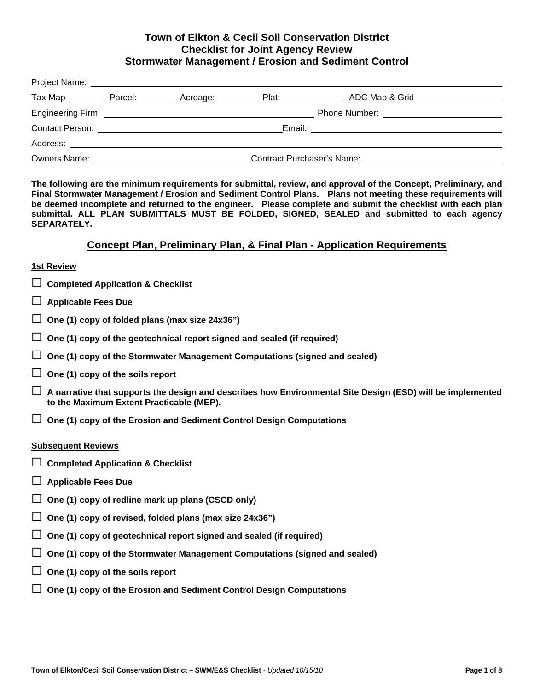### **Town of Elkton & Cecil Soil Conservation District Checklist for Joint Agency Review Stormwater Management / Erosion and Sediment Control**

| Tax Map Parcel:                                                                                                |  | Acreage: Manager | Plat: and the state of the state of the state of the state of the state of the state of the state of the state | ADC Map & Grid                                                                                                                                                                                                                      |  |
|----------------------------------------------------------------------------------------------------------------|--|------------------|----------------------------------------------------------------------------------------------------------------|-------------------------------------------------------------------------------------------------------------------------------------------------------------------------------------------------------------------------------------|--|
|                                                                                                                |  |                  |                                                                                                                | <b>Phone Number:</b> The Contract of the Contract of the Contract of the Contract of the Contract of the Contract of the Contract of the Contract of the Contract of the Contract of the Contract of the Contract of the Contract o |  |
| Contact Person: Entertainment of the contact Person:                                                           |  |                  |                                                                                                                | Email: <u>________________________</u>                                                                                                                                                                                              |  |
| Address: Andreas Address and Address and Address and Address and Address and Address and Address and Address a |  |                  |                                                                                                                |                                                                                                                                                                                                                                     |  |
| <b>Owners Name:</b>                                                                                            |  |                  | <b>Contract Purchaser's Name:</b>                                                                              |                                                                                                                                                                                                                                     |  |

**The following are the minimum requirements for submittal, review, and approval of the Concept, Preliminary, and Final Stormwater Management / Erosion and Sediment Control Plans. Plans not meeting these requirements will be deemed incomplete and returned to the engineer. Please complete and submit the checklist with each plan submittal. ALL PLAN SUBMITTALS MUST BE FOLDED, SIGNED, SEALED and submitted to each agency SEPARATELY.** 

### **Concept Plan, Preliminary Plan, & Final Plan - Application Requirements**

### **1st Review**

- **Completed Application & Checklist**
- **Applicable Fees Due**
- **One (1) copy of folded plans (max size 24x36")**
- **One (1) copy of the geotechnical report signed and sealed (if required)**
- **One (1) copy of the Stormwater Management Computations (signed and sealed)**
- **One (1) copy of the soils report**
- **A narrative that supports the design and describes how Environmental Site Design (ESD) will be implemented to the Maximum Extent Practicable (MEP).**
- **One (1) copy of the Erosion and Sediment Control Design Computations**

### **Subsequent Reviews**

- **Completed Application & Checklist**
- **Applicable Fees Due**
- **One (1) copy of redline mark up plans (CSCD only)**
- **One (1) copy of revised, folded plans (max size 24x36")**
- **One (1) copy of geotechnical report signed and sealed (if required)**
- **One (1) copy of the Stormwater Management Computations (signed and sealed)**
- **One (1) copy of the soils report**
- **One (1) copy of the Erosion and Sediment Control Design Computations**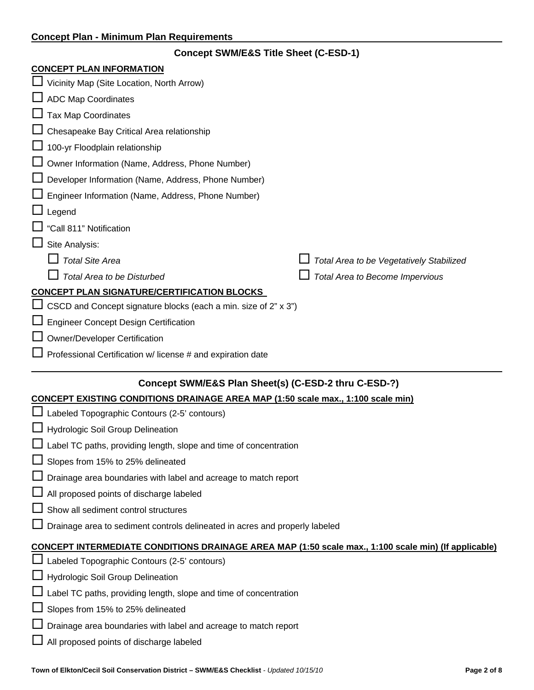| <b>Concept SWM/E&amp;S Title Sheet (C-ESD-1)</b>                                        |                                                                   |  |  |  |  |
|-----------------------------------------------------------------------------------------|-------------------------------------------------------------------|--|--|--|--|
| <b>CONCEPT PLAN INFORMATION</b>                                                         |                                                                   |  |  |  |  |
| Vicinity Map (Site Location, North Arrow)                                               |                                                                   |  |  |  |  |
| <b>ADC Map Coordinates</b>                                                              |                                                                   |  |  |  |  |
| <b>Tax Map Coordinates</b>                                                              |                                                                   |  |  |  |  |
| Chesapeake Bay Critical Area relationship                                               |                                                                   |  |  |  |  |
| 100-yr Floodplain relationship                                                          |                                                                   |  |  |  |  |
| Owner Information (Name, Address, Phone Number)                                         |                                                                   |  |  |  |  |
| Developer Information (Name, Address, Phone Number)                                     |                                                                   |  |  |  |  |
| Engineer Information (Name, Address, Phone Number)                                      |                                                                   |  |  |  |  |
| Legend                                                                                  |                                                                   |  |  |  |  |
| "Call 811" Notification                                                                 |                                                                   |  |  |  |  |
| Site Analysis:                                                                          |                                                                   |  |  |  |  |
| <b>Total Site Area</b>                                                                  | Total Area to be Vegetatively Stabilized                          |  |  |  |  |
| <b>Total Area to be Disturbed</b>                                                       | Total Area to Become Impervious                                   |  |  |  |  |
| <b>CONCEPT PLAN SIGNATURE/CERTIFICATION BLOCKS</b>                                      |                                                                   |  |  |  |  |
| CSCD and Concept signature blocks (each a min. size of 2" x 3")                         |                                                                   |  |  |  |  |
| <b>Engineer Concept Design Certification</b>                                            |                                                                   |  |  |  |  |
| <b>Owner/Developer Certification</b>                                                    |                                                                   |  |  |  |  |
| Professional Certification w/ license # and expiration date                             |                                                                   |  |  |  |  |
|                                                                                         |                                                                   |  |  |  |  |
| Concept SWM/E&S Plan Sheet(s) (C-ESD-2 thru C-ESD-?)                                    |                                                                   |  |  |  |  |
| <b>CONCEPT EXISTING CONDITIONS DRAINAGE AREA MAP (1:50 scale max., 1:100 scale min)</b> |                                                                   |  |  |  |  |
| Labeled Topographic Contours (2-5' contours)                                            |                                                                   |  |  |  |  |
| Hydrologic Soil Group Delineation                                                       |                                                                   |  |  |  |  |
|                                                                                         | Label TC paths, providing length, slope and time of concentration |  |  |  |  |
| Slopes from 15% to 25% delineated                                                       |                                                                   |  |  |  |  |
| Drainage area boundaries with label and acreage to match report                         |                                                                   |  |  |  |  |
| All proposed points of discharge labeled                                                |                                                                   |  |  |  |  |

- $\Box$  Show all sediment control structures
- Drainage area to sediment controls delineated in acres and properly labeled

# **CONCEPT INTERMEDIATE CONDITIONS DRAINAGE AREA MAP (1:50 scale max., 1:100 scale min) (If applicable)**

- $\Box$  Labeled Topographic Contours (2-5' contours)
- Hydrologic Soil Group Delineation
- Label TC paths, providing length, slope and time of concentration
- Slopes from 15% to 25% delineated
- Drainage area boundaries with label and acreage to match report
- All proposed points of discharge labeled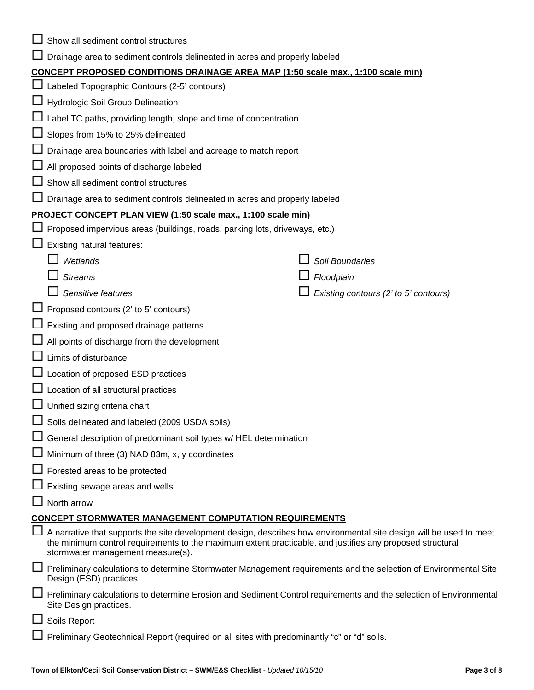|   | Show all sediment control structures                                                                                                                                                                                                                                  |  |                                       |  |  |  |
|---|-----------------------------------------------------------------------------------------------------------------------------------------------------------------------------------------------------------------------------------------------------------------------|--|---------------------------------------|--|--|--|
|   | Drainage area to sediment controls delineated in acres and properly labeled                                                                                                                                                                                           |  |                                       |  |  |  |
|   | <b>CONCEPT PROPOSED CONDITIONS DRAINAGE AREA MAP (1:50 scale max., 1:100 scale min)</b>                                                                                                                                                                               |  |                                       |  |  |  |
|   | Labeled Topographic Contours (2-5' contours)                                                                                                                                                                                                                          |  |                                       |  |  |  |
|   | <b>Hydrologic Soil Group Delineation</b>                                                                                                                                                                                                                              |  |                                       |  |  |  |
|   | Label TC paths, providing length, slope and time of concentration                                                                                                                                                                                                     |  |                                       |  |  |  |
|   | Slopes from 15% to 25% delineated                                                                                                                                                                                                                                     |  |                                       |  |  |  |
|   | Drainage area boundaries with label and acreage to match report                                                                                                                                                                                                       |  |                                       |  |  |  |
|   | All proposed points of discharge labeled                                                                                                                                                                                                                              |  |                                       |  |  |  |
|   | Show all sediment control structures                                                                                                                                                                                                                                  |  |                                       |  |  |  |
|   | Drainage area to sediment controls delineated in acres and properly labeled                                                                                                                                                                                           |  |                                       |  |  |  |
|   | PROJECT CONCEPT PLAN VIEW (1:50 scale max., 1:100 scale min)                                                                                                                                                                                                          |  |                                       |  |  |  |
|   | Proposed impervious areas (buildings, roads, parking lots, driveways, etc.)                                                                                                                                                                                           |  |                                       |  |  |  |
|   | Existing natural features:                                                                                                                                                                                                                                            |  |                                       |  |  |  |
|   | Wetlands                                                                                                                                                                                                                                                              |  | Soil Boundaries                       |  |  |  |
|   | <b>Streams</b>                                                                                                                                                                                                                                                        |  | Floodplain                            |  |  |  |
|   | Sensitive features                                                                                                                                                                                                                                                    |  | Existing contours (2' to 5' contours) |  |  |  |
|   | $\Box$ Proposed contours (2' to 5' contours)                                                                                                                                                                                                                          |  |                                       |  |  |  |
|   | Existing and proposed drainage patterns                                                                                                                                                                                                                               |  |                                       |  |  |  |
|   | All points of discharge from the development                                                                                                                                                                                                                          |  |                                       |  |  |  |
|   | Limits of disturbance                                                                                                                                                                                                                                                 |  |                                       |  |  |  |
|   | Location of proposed ESD practices                                                                                                                                                                                                                                    |  |                                       |  |  |  |
|   | Location of all structural practices                                                                                                                                                                                                                                  |  |                                       |  |  |  |
|   | Unified sizing criteria chart                                                                                                                                                                                                                                         |  |                                       |  |  |  |
|   | Soils delineated and labeled (2009 USDA soils)                                                                                                                                                                                                                        |  |                                       |  |  |  |
|   | $\Box$ General description of predominant soil types w/ HEL determination                                                                                                                                                                                             |  |                                       |  |  |  |
|   | Minimum of three (3) NAD 83m, x, y coordinates                                                                                                                                                                                                                        |  |                                       |  |  |  |
|   | $\Box$ Forested areas to be protected                                                                                                                                                                                                                                 |  |                                       |  |  |  |
|   | Existing sewage areas and wells                                                                                                                                                                                                                                       |  |                                       |  |  |  |
|   | North arrow                                                                                                                                                                                                                                                           |  |                                       |  |  |  |
|   | <b>CONCEPT STORMWATER MANAGEMENT COMPUTATION REQUIREMENTS</b>                                                                                                                                                                                                         |  |                                       |  |  |  |
|   | A narrative that supports the site development design, describes how environmental site design will be used to meet<br>the minimum control requirements to the maximum extent practicable, and justifies any proposed structural<br>stormwater management measure(s). |  |                                       |  |  |  |
| ப | Preliminary calculations to determine Stormwater Management requirements and the selection of Environmental Site<br>Design (ESD) practices.                                                                                                                           |  |                                       |  |  |  |
|   | Preliminary calculations to determine Erosion and Sediment Control requirements and the selection of Environmental<br>Site Design practices.                                                                                                                          |  |                                       |  |  |  |
|   | Soils Report                                                                                                                                                                                                                                                          |  |                                       |  |  |  |
|   | Preliminary Geotechnical Report (required on all sites with predominantly "c" or "d" soils.                                                                                                                                                                           |  |                                       |  |  |  |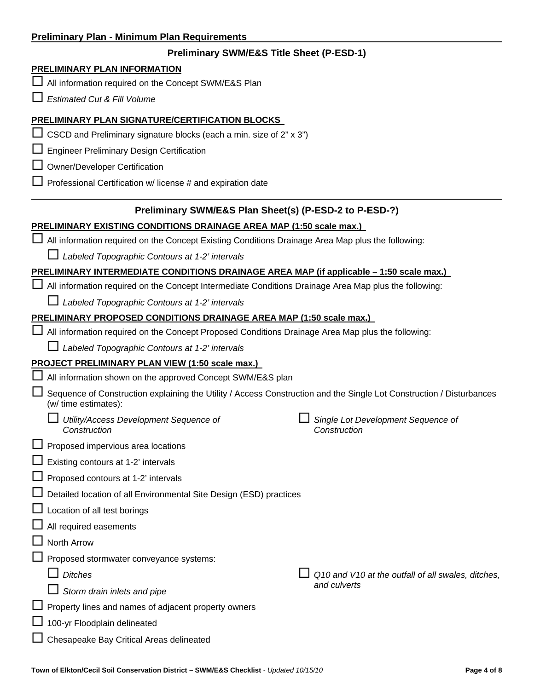|  |  |  |  |  | <b>Preliminary Plan - Minimum Plan Requirements</b> |
|--|--|--|--|--|-----------------------------------------------------|
|--|--|--|--|--|-----------------------------------------------------|

### **Preliminary SWM/E&S Title Sheet (P-ESD-1)**

### **PRELIMINARY PLAN INFORMATION**

□ All information required on the Concept SWM/E&S Plan

*Estimated Cut & Fill Volume*

### **PRELIMINARY PLAN SIGNATURE/CERTIFICATION BLOCKS**

 $\Box$  CSCD and Preliminary signature blocks (each a min. size of 2" x 3")

 $\square$  Engineer Preliminary Design Certification

 $\Box$  Owner/Developer Certification

 $\Box$  Professional Certification w/ license # and expiration date

### **Preliminary SWM/E&S Plan Sheet(s) (P-ESD-2 to P-ESD-?)**

#### **PRELIMINARY EXISTING CONDITIONS DRAINAGE AREA MAP (1:50 scale max.)**

All information required on the Concept Existing Conditions Drainage Area Map plus the following:

*Labeled Topographic Contours at 1-2' intervals* 

### **PRELIMINARY INTERMEDIATE CONDITIONS DRAINAGE AREA MAP (if applicable – 1:50 scale max.)**

All information required on the Concept Intermediate Conditions Drainage Area Map plus the following:

*Labeled Topographic Contours at 1-2' intervals* 

### **PRELIMINARY PROPOSED CONDITIONS DRAINAGE AREA MAP (1:50 scale max.)**

All information required on the Concept Proposed Conditions Drainage Area Map plus the following:

*Labeled Topographic Contours at 1-2' intervals* 

### **PROJECT PRELIMINARY PLAN VIEW (1:50 scale max.)**

| All information shown on the approved Concept SWM/E&S plan                                                                                   |  |                                                    |  |  |
|----------------------------------------------------------------------------------------------------------------------------------------------|--|----------------------------------------------------|--|--|
| Sequence of Construction explaining the Utility / Access Construction and the Single Lot Construction / Disturbances<br>(w/ time estimates): |  |                                                    |  |  |
| Utility/Access Development Sequence of<br>Construction                                                                                       |  | Single Lot Development Sequence of<br>Construction |  |  |
| $\Box$ Proposed impervious area locations                                                                                                    |  |                                                    |  |  |
| $\Box$ Existing contours at 1-2' intervals                                                                                                   |  |                                                    |  |  |
| $\Box$ Proposed contours at 1-2' intervals                                                                                                   |  |                                                    |  |  |
| Detailed location of all Environmental Site Design (ESD) practices                                                                           |  |                                                    |  |  |
| $\Box$ Location of all test borings                                                                                                          |  |                                                    |  |  |
| $\Box$ All required easements                                                                                                                |  |                                                    |  |  |
| $\Box$ North Arrow                                                                                                                           |  |                                                    |  |  |
| □ Proposed stormwater conveyance systems:                                                                                                    |  |                                                    |  |  |
| <b>Ditches</b>                                                                                                                               |  | Q10 and V10 at the outfall of all swales, ditches, |  |  |
| Storm drain inlets and pipe                                                                                                                  |  | and culverts                                       |  |  |
| $\Box$ Property lines and names of adjacent property owners                                                                                  |  |                                                    |  |  |
| 100-yr Floodplain delineated                                                                                                                 |  |                                                    |  |  |
| □ Chesapeake Bay Critical Areas delineated                                                                                                   |  |                                                    |  |  |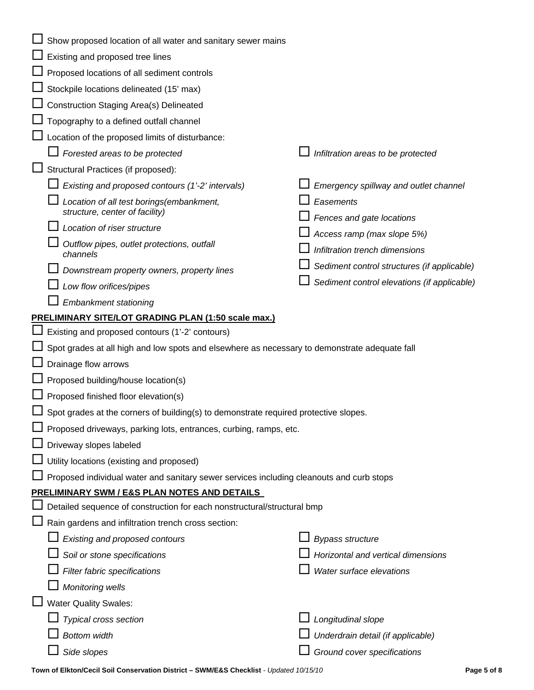| Show proposed location of all water and sanitary sewer mains                                    |                                             |  |  |  |
|-------------------------------------------------------------------------------------------------|---------------------------------------------|--|--|--|
| Existing and proposed tree lines                                                                |                                             |  |  |  |
| $\Box$ Proposed locations of all sediment controls                                              |                                             |  |  |  |
| Stockpile locations delineated (15' max)                                                        |                                             |  |  |  |
| □ Construction Staging Area(s) Delineated                                                       |                                             |  |  |  |
| Topography to a defined outfall channel                                                         |                                             |  |  |  |
| $\Box$ Location of the proposed limits of disturbance:                                          |                                             |  |  |  |
| Forested areas to be protected                                                                  | Infiltration areas to be protected          |  |  |  |
| Structural Practices (if proposed):                                                             |                                             |  |  |  |
| Existing and proposed contours (1'-2' intervals)                                                | Emergency spillway and outlet channel       |  |  |  |
| Location of all test borings(embankment,<br>structure, center of facility)                      | Easements                                   |  |  |  |
| Location of riser structure                                                                     | Fences and gate locations                   |  |  |  |
| Outflow pipes, outlet protections, outfall                                                      | Access ramp (max slope 5%)                  |  |  |  |
| channels                                                                                        | Infiltration trench dimensions              |  |  |  |
| Downstream property owners, property lines                                                      | Sediment control structures (if applicable) |  |  |  |
| Low flow orifices/pipes                                                                         | Sediment control elevations (if applicable) |  |  |  |
| <b>Embankment stationing</b>                                                                    |                                             |  |  |  |
| PRELIMINARY SITE/LOT GRADING PLAN (1:50 scale max.)                                             |                                             |  |  |  |
| $\Box$ Existing and proposed contours (1'-2' contours)                                          |                                             |  |  |  |
| Spot grades at all high and low spots and elsewhere as necessary to demonstrate adequate fall   |                                             |  |  |  |
| Drainage flow arrows                                                                            |                                             |  |  |  |
| $\Box$ Proposed building/house location(s)                                                      |                                             |  |  |  |
| $\Box$ Proposed finished floor elevation(s)                                                     |                                             |  |  |  |
| $\Box$ Spot grades at the corners of building(s) to demonstrate required protective slopes.     |                                             |  |  |  |
| ■ Proposed driveways, parking lots, entrances, curbing, ramps, etc.                             |                                             |  |  |  |
| $\Box$ Driveway slopes labeled                                                                  |                                             |  |  |  |
| $\perp$ Utility locations (existing and proposed)                                               |                                             |  |  |  |
| $\Box$ Proposed individual water and sanitary sewer services including cleanouts and curb stops |                                             |  |  |  |
| PRELIMINARY SWM / E&S PLAN NOTES AND DETAILS                                                    |                                             |  |  |  |
| Detailed sequence of construction for each nonstructural/structural bmp                         |                                             |  |  |  |
| Rain gardens and infiltration trench cross section:                                             |                                             |  |  |  |
| Existing and proposed contours                                                                  | <b>Bypass structure</b>                     |  |  |  |
| Soil or stone specifications                                                                    | Horizontal and vertical dimensions          |  |  |  |
| Filter fabric specifications                                                                    | Water surface elevations                    |  |  |  |
| Monitoring wells                                                                                |                                             |  |  |  |
| <b>Water Quality Swales:</b>                                                                    |                                             |  |  |  |
| Typical cross section                                                                           | Longitudinal slope                          |  |  |  |
|                                                                                                 |                                             |  |  |  |
| <b>Bottom width</b>                                                                             | Underdrain detail (if applicable)           |  |  |  |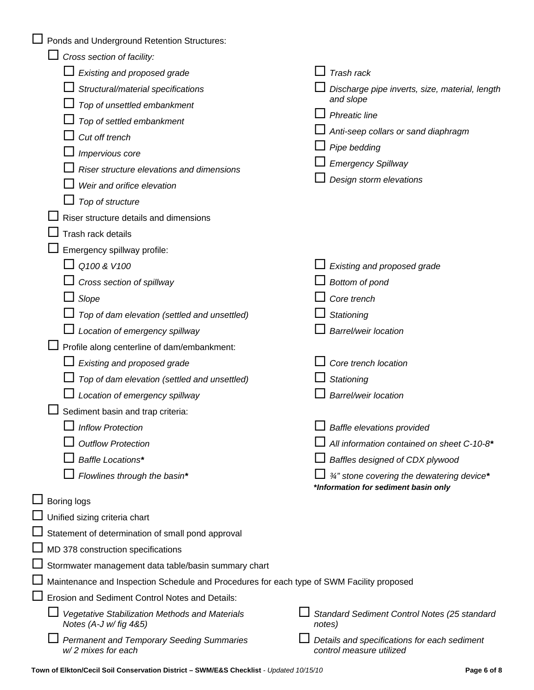|                                                                                           | Ponds and Underground Retention Structures:                                               |  |                                                                                    |  |
|-------------------------------------------------------------------------------------------|-------------------------------------------------------------------------------------------|--|------------------------------------------------------------------------------------|--|
|                                                                                           | Cross section of facility:                                                                |  |                                                                                    |  |
|                                                                                           | Existing and proposed grade                                                               |  | Trash rack                                                                         |  |
|                                                                                           | Structural/material specifications                                                        |  | Discharge pipe inverts, size, material, length                                     |  |
|                                                                                           | Top of unsettled embankment                                                               |  | and slope                                                                          |  |
|                                                                                           | Top of settled embankment                                                                 |  | <b>Phreatic line</b>                                                               |  |
|                                                                                           | Cut off trench                                                                            |  | Anti-seep collars or sand diaphragm                                                |  |
|                                                                                           | Impervious core                                                                           |  | $\Box$ Pipe bedding                                                                |  |
|                                                                                           | Riser structure elevations and dimensions                                                 |  | <b>Emergency Spillway</b>                                                          |  |
|                                                                                           | Weir and orifice elevation                                                                |  | Design storm elevations                                                            |  |
|                                                                                           | Top of structure                                                                          |  |                                                                                    |  |
|                                                                                           | Riser structure details and dimensions                                                    |  |                                                                                    |  |
|                                                                                           | Trash rack details                                                                        |  |                                                                                    |  |
|                                                                                           | Emergency spillway profile:                                                               |  |                                                                                    |  |
|                                                                                           | Q100 & V100                                                                               |  | Existing and proposed grade                                                        |  |
|                                                                                           | Cross section of spillway                                                                 |  | Bottom of pond                                                                     |  |
|                                                                                           | Slope                                                                                     |  | Core trench                                                                        |  |
|                                                                                           | Top of dam elevation (settled and unsettled)                                              |  | Stationing                                                                         |  |
|                                                                                           | Location of emergency spillway                                                            |  | <b>Barrel/weir location</b>                                                        |  |
|                                                                                           | Profile along centerline of dam/embankment:                                               |  |                                                                                    |  |
|                                                                                           | Existing and proposed grade                                                               |  | Core trench location                                                               |  |
|                                                                                           | Top of dam elevation (settled and unsettled)                                              |  | Stationing                                                                         |  |
|                                                                                           | Location of emergency spillway                                                            |  | <b>Barrel/weir location</b>                                                        |  |
|                                                                                           | Sediment basin and trap criteria:                                                         |  |                                                                                    |  |
|                                                                                           | <b>Inflow Protection</b>                                                                  |  | $\Box$ Baffle elevations provided                                                  |  |
|                                                                                           | <b>Outflow Protection</b>                                                                 |  | All information contained on sheet C-10-8*                                         |  |
|                                                                                           | Baffle Locations*                                                                         |  | Baffles designed of CDX plywood                                                    |  |
|                                                                                           | Flowlines through the basin*                                                              |  | 3/4" stone covering the dewatering device*<br>*Information for sediment basin only |  |
|                                                                                           | $\Box$ Boring logs                                                                        |  |                                                                                    |  |
|                                                                                           | □ Unified sizing criteria chart                                                           |  |                                                                                    |  |
|                                                                                           | Statement of determination of small pond approval                                         |  |                                                                                    |  |
|                                                                                           | $\Box$ MD 378 construction specifications                                                 |  |                                                                                    |  |
|                                                                                           | Stormwater management data table/basin summary chart                                      |  |                                                                                    |  |
| Maintenance and Inspection Schedule and Procedures for each type of SWM Facility proposed |                                                                                           |  |                                                                                    |  |
| Erosion and Sediment Control Notes and Details:                                           |                                                                                           |  |                                                                                    |  |
|                                                                                           | Vegetative Stabilization Methods and Materials<br>Notes $(A-J \text{ w}/\text{fig } 485)$ |  | Standard Sediment Control Notes (25 standard<br>notes)                             |  |
|                                                                                           | <b>Permanent and Temporary Seeding Summaries</b><br>w/2 mixes for each                    |  | Details and specifications for each sediment<br>control measure utilized           |  |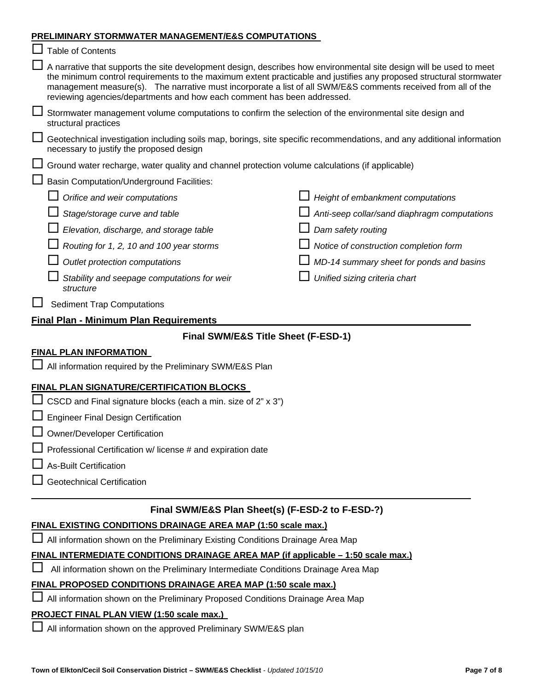#### **PRELIMINARY STORMWATER MANAGEMENT/E&S COMPUTATIONS**

| <u>PRELIMINARY STORMWATER MANAGEMENT/E&amp;S COMPUTATIONS</u>                                                                                                                                                                                                                                                                                                                                                                                 |                                              |  |  |  |  |
|-----------------------------------------------------------------------------------------------------------------------------------------------------------------------------------------------------------------------------------------------------------------------------------------------------------------------------------------------------------------------------------------------------------------------------------------------|----------------------------------------------|--|--|--|--|
| <b>Table of Contents</b>                                                                                                                                                                                                                                                                                                                                                                                                                      |                                              |  |  |  |  |
| $\Box$ A narrative that supports the site development design, describes how environmental site design will be used to meet<br>the minimum control requirements to the maximum extent practicable and justifies any proposed structural stormwater<br>management measure(s). The narrative must incorporate a list of all SWM/E&S comments received from all of the<br>reviewing agencies/departments and how each comment has been addressed. |                                              |  |  |  |  |
| Stormwater management volume computations to confirm the selection of the environmental site design and<br>structural practices                                                                                                                                                                                                                                                                                                               |                                              |  |  |  |  |
| Geotechnical investigation including soils map, borings, site specific recommendations, and any additional information<br>necessary to justify the proposed design                                                                                                                                                                                                                                                                            |                                              |  |  |  |  |
| $\Box$ Ground water recharge, water quality and channel protection volume calculations (if applicable)                                                                                                                                                                                                                                                                                                                                        |                                              |  |  |  |  |
| <b>Basin Computation/Underground Facilities:</b>                                                                                                                                                                                                                                                                                                                                                                                              |                                              |  |  |  |  |
| Orifice and weir computations                                                                                                                                                                                                                                                                                                                                                                                                                 | Height of embankment computations            |  |  |  |  |
| Stage/storage curve and table                                                                                                                                                                                                                                                                                                                                                                                                                 | Anti-seep collar/sand diaphragm computations |  |  |  |  |
| Elevation, discharge, and storage table                                                                                                                                                                                                                                                                                                                                                                                                       | Dam safety routing                           |  |  |  |  |
| Routing for 1, 2, 10 and 100 year storms                                                                                                                                                                                                                                                                                                                                                                                                      | Notice of construction completion form       |  |  |  |  |
| Outlet protection computations                                                                                                                                                                                                                                                                                                                                                                                                                | MD-14 summary sheet for ponds and basins     |  |  |  |  |
| Stability and seepage computations for weir<br>structure                                                                                                                                                                                                                                                                                                                                                                                      | Unified sizing criteria chart                |  |  |  |  |
| <b>Sediment Trap Computations</b>                                                                                                                                                                                                                                                                                                                                                                                                             |                                              |  |  |  |  |
| <b>Final Plan - Minimum Plan Requirements</b>                                                                                                                                                                                                                                                                                                                                                                                                 |                                              |  |  |  |  |
| Final SWM/E&S Title Sheet (F-ESD-1)                                                                                                                                                                                                                                                                                                                                                                                                           |                                              |  |  |  |  |
| <b>FINAL PLAN INFORMATION</b>                                                                                                                                                                                                                                                                                                                                                                                                                 |                                              |  |  |  |  |
| □ All information required by the Preliminary SWM/E&S Plan                                                                                                                                                                                                                                                                                                                                                                                    |                                              |  |  |  |  |
| FINAL PLAN SIGNATURE/CERTIFICATION BLOCKS                                                                                                                                                                                                                                                                                                                                                                                                     |                                              |  |  |  |  |
| $\Box$ CSCD and Final signature blocks (each a min. size of 2" x 3")                                                                                                                                                                                                                                                                                                                                                                          |                                              |  |  |  |  |
| Engineer Final Design Certification                                                                                                                                                                                                                                                                                                                                                                                                           |                                              |  |  |  |  |
| Owner/Developer Certification                                                                                                                                                                                                                                                                                                                                                                                                                 |                                              |  |  |  |  |
| □ Professional Certification w/ license # and expiration date                                                                                                                                                                                                                                                                                                                                                                                 |                                              |  |  |  |  |
| As-Built Certification                                                                                                                                                                                                                                                                                                                                                                                                                        |                                              |  |  |  |  |
| <b>Geotechnical Certification</b>                                                                                                                                                                                                                                                                                                                                                                                                             |                                              |  |  |  |  |
|                                                                                                                                                                                                                                                                                                                                                                                                                                               |                                              |  |  |  |  |
| Final SWM/E&S Plan Sheet(s) (F-ESD-2 to F-ESD-?)                                                                                                                                                                                                                                                                                                                                                                                              |                                              |  |  |  |  |
| FINAL EXISTING CONDITIONS DRAINAGE AREA MAP (1:50 scale max.)                                                                                                                                                                                                                                                                                                                                                                                 |                                              |  |  |  |  |
| □ All information shown on the Preliminary Existing Conditions Drainage Area Map                                                                                                                                                                                                                                                                                                                                                              |                                              |  |  |  |  |
| FINAL INTERMEDIATE CONDITIONS DRAINAGE AREA MAP (if applicable - 1:50 scale max.)<br>All information shown on the Preliminary Intermediate Conditions Drainage Area Map                                                                                                                                                                                                                                                                       |                                              |  |  |  |  |
| FINAL PROPOSED CONDITIONS DRAINAGE AREA MAP (1:50 scale max.)                                                                                                                                                                                                                                                                                                                                                                                 |                                              |  |  |  |  |
|                                                                                                                                                                                                                                                                                                                                                                                                                                               |                                              |  |  |  |  |

All information shown on the Preliminary Proposed Conditions Drainage Area Map

## **PROJECT FINAL PLAN VIEW (1:50 scale max.)**

All information shown on the approved Preliminary SWM/E&S plan